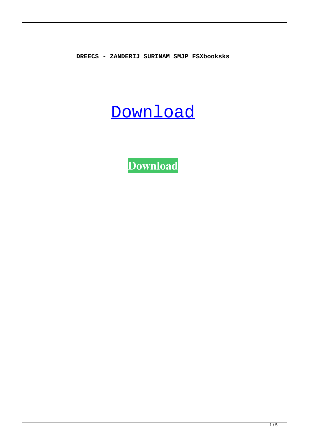**DREECS - ZANDERIJ SURINAM SMJP FSXbooksks**

## **[Download](http://evacdir.com/muskets/patchett/ascw.petitgrain?tsimstum=RFJFRUNTIC0gWkFOREVSSUogU1VSSU5BTSBTTUpQIEZTWGJvb2tza3MRFJ/seance/ZG93bmxvYWR8dHkyTVdGNk9IeDhNVFkxTWpjME1EZzJObng4TWpVM05IeDhLRTBwSUhKbFlXUXRZbXh2WnlCYlJtRnpkQ0JIUlU1ZA/vivian)**

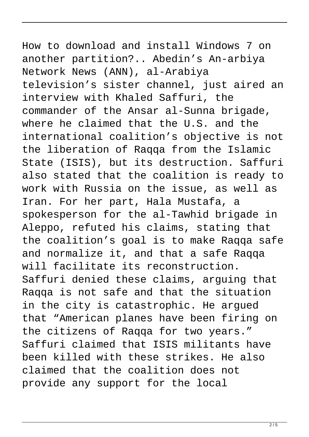How to download and install Windows 7 on another partition?.. Abedin's An-arbiya Network News (ANN), al-Arabiya television's sister channel, just aired an interview with Khaled Saffuri, the commander of the Ansar al-Sunna brigade, where he claimed that the U.S. and the international coalition's objective is not the liberation of Raqqa from the Islamic State (ISIS), but its destruction. Saffuri also stated that the coalition is ready to work with Russia on the issue, as well as Iran. For her part, Hala Mustafa, a spokesperson for the al-Tawhid brigade in Aleppo, refuted his claims, stating that the coalition's goal is to make Raqqa safe and normalize it, and that a safe Raqqa will facilitate its reconstruction. Saffuri denied these claims, arguing that Raqqa is not safe and that the situation in the city is catastrophic. He argued that "American planes have been firing on the citizens of Raqqa for two years." Saffuri claimed that ISIS militants have been killed with these strikes. He also claimed that the coalition does not

provide any support for the local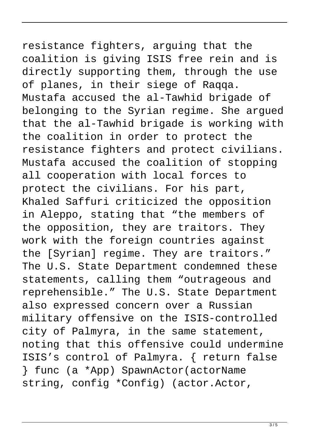## resistance fighters, arguing that the coalition is giving ISIS free rein and is directly supporting them, through the use

of planes, in their siege of Raqqa. Mustafa accused the al-Tawhid brigade of belonging to the Syrian regime. She argued that the al-Tawhid brigade is working with the coalition in order to protect the resistance fighters and protect civilians. Mustafa accused the coalition of stopping all cooperation with local forces to protect the civilians. For his part, Khaled Saffuri criticized the opposition in Aleppo, stating that "the members of the opposition, they are traitors. They work with the foreign countries against the [Syrian] regime. They are traitors." The U.S. State Department condemned these statements, calling them "outrageous and reprehensible." The U.S. State Department also expressed concern over a Russian military offensive on the ISIS-controlled city of Palmyra, in the same statement, noting that this offensive could undermine ISIS's control of Palmyra. { return false } func (a \*App) SpawnActor(actorName string, config \*Config) (actor.Actor,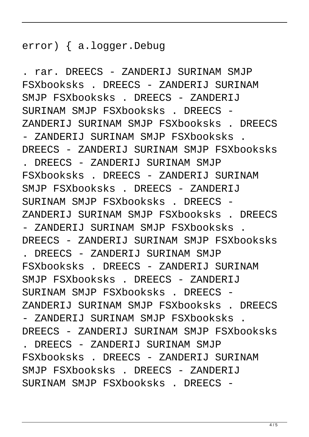error) { a.logger.Debug

. rar. DREECS - ZANDERIJ SURINAM SMJP FSXbooksks . DREECS - ZANDERIJ SURINAM SMJP FSXbooksks . DREECS - ZANDERIJ SURINAM SMJP FSXbooksks . DREECS - ZANDERIJ SURINAM SMJP FSXbooksks . DREECS - ZANDERIJ SURINAM SMJP FSXbooksks . DREECS - ZANDERIJ SURINAM SMJP FSXbooksks . DREECS - ZANDERIJ SURINAM SMJP FSXbooksks . DREECS - ZANDERIJ SURINAM SMJP FSXbooksks . DREECS - ZANDERIJ SURINAM SMJP FSXbooksks . DREECS - ZANDERIJ SURINAM SMJP FSXbooksks . DREECS - ZANDERIJ SURINAM SMJP FSXbooksks . DREECS - ZANDERIJ SURINAM SMJP FSXbooksks . DREECS - ZANDERIJ SURINAM SMJP FSXbooksks . DREECS - ZANDERIJ SURINAM SMJP FSXbooksks . DREECS - ZANDERIJ SURINAM SMJP FSXbooksks . DREECS - ZANDERIJ SURINAM SMJP FSXbooksks . DREECS - ZANDERIJ SURINAM SMJP FSXbooksks . DREECS - ZANDERIJ SURINAM SMJP FSXbooksks . DREECS - ZANDERIJ SURINAM SMJP FSXbooksks . DREECS - ZANDERIJ SURINAM SMJP FSXbooksks . DREECS - ZANDERIJ SURINAM SMJP FSXbooksks . DREECS -